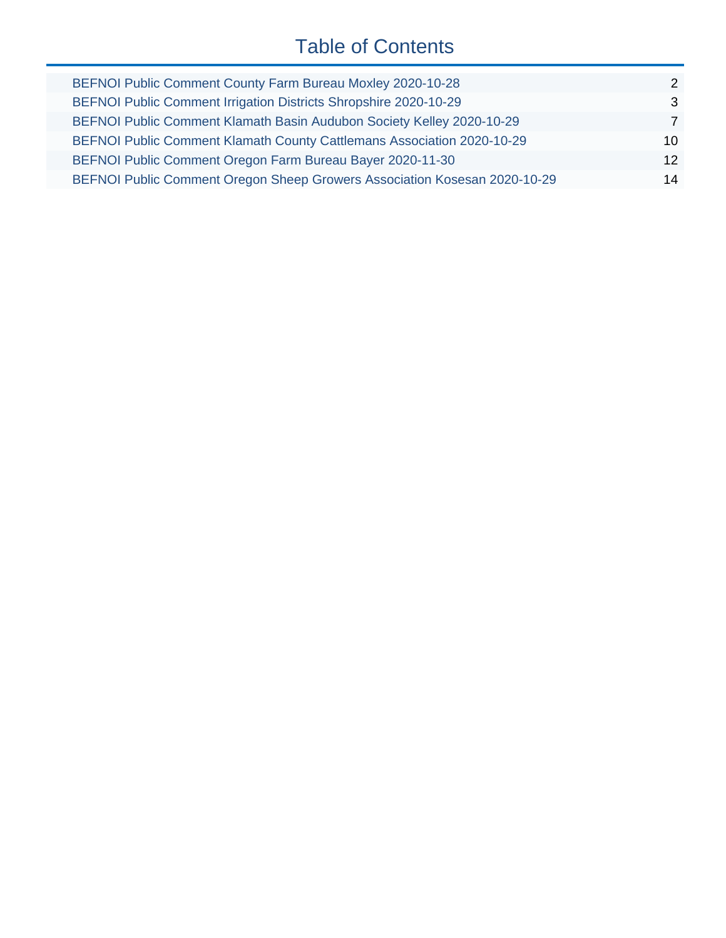# Table of Contents

| BEFNOI Public Comment County Farm Bureau Moxley 2020-10-28                | $\mathcal{P}$   |
|---------------------------------------------------------------------------|-----------------|
| BEFNOI Public Comment Irrigation Districts Shropshire 2020-10-29          | 3               |
| BEFNOI Public Comment Klamath Basin Audubon Society Kelley 2020-10-29     | 7               |
| BEFNOI Public Comment Klamath County Cattlemans Association 2020-10-29    | $10^{-}$        |
| BEFNOI Public Comment Oregon Farm Bureau Bayer 2020-11-30                 | 12 <sup>7</sup> |
| BEFNOI Public Comment Oregon Sheep Growers Association Kosesan 2020-10-29 | 14              |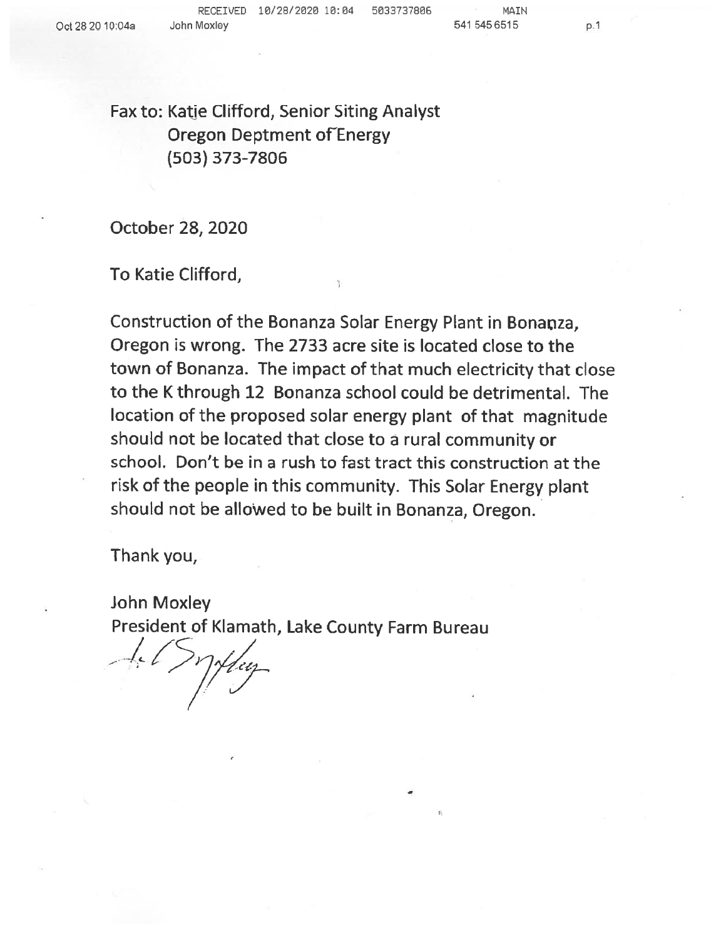**RECEIVED <sup>10</sup>/28/2020 <sup>10</sup>:<sup>04</sup> <sup>5033737806</sup>**

**p**.

<span id="page-1-0"></span>Fax to: Katie Clifford, Senior Siting Analyst<br>Creasen Destreant of Freews Oregon Deptment of Energy<br>(503) 373,7996 (503) 373-7806

October <sup>28</sup>,<sup>2020</sup>

To Katie Clifford,

Construction of the Bonanza Solar Energy Plant in Bonanza, Oregon is wrong. The 2733 acre site is located close to the<br>town of Bonones. The impact of that week also wisite that town of Bonanza. The impact of that much electricity that close to the K through 12 Bonanza school could be detrimental. The<br>location of the proposed solar epergy plant, of thet, magnitude location of the proposed solar energy plant of that magnitudeshould not be located that close to <sup>a</sup> rural community or school. Don't be in a rush to fast tract this construction at the<br>risk of the naamle in this community. This Salve E risk of the people in this community. This Solar Energy plant should not be allowed to be built in Bonanza, Oregon.

Thank you,

John Moxley President of Klamath, Lake County Farm Bureau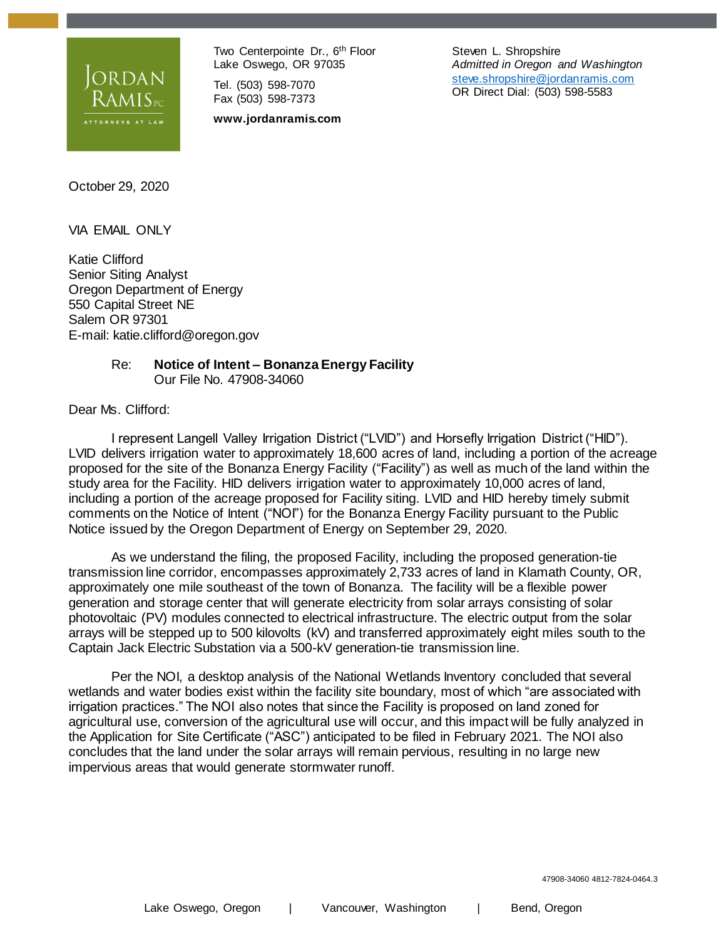<span id="page-2-0"></span>

Two Centerpointe Dr., 6<sup>th</sup> Floor Lake Oswego, OR 97035

Tel. (503) 598-7070 Fax (503) 598-7373

**www.jordanramis.com**

Steven L. Shropshire *Admitted in Oregon and Washington* [steve.shropshire@jordanramis.com](file:///C:/Users/sls/ND%20Office%20Echo/VAULT-FJL78EX7/steve.shropshire@jordanramis.com) OR Direct Dial: (503) 598-5583

October 29, 2020

VIA EMAIL ONLY

Katie Clifford Senior Siting Analyst Oregon Department of Energy 550 Capital Street NE Salem OR 97301 E-mail: katie.clifford@oregon.gov

#### Re: **Notice of Intent – Bonanza Energy Facility** Our File No. 47908-34060

Dear Ms. Clifford:

I represent Langell Valley Irrigation District ("LVID") and Horsefly Irrigation District ("HID"). LVID delivers irrigation water to approximately 18,600 acres of land, including a portion of the acreage proposed for the site of the Bonanza Energy Facility ("Facility") as well as much of the land within the study area for the Facility. HID delivers irrigation water to approximately 10,000 acres of land, including a portion of the acreage proposed for Facility siting. LVID and HID hereby timely submit comments on the Notice of Intent ("NOI") for the Bonanza Energy Facility pursuant to the Public Notice issued by the Oregon Department of Energy on September 29, 2020.

As we understand the filing, the proposed Facility, including the proposed generation-tie transmission line corridor, encompasses approximately 2,733 acres of land in Klamath County, OR, approximately one mile southeast of the town of Bonanza. The facility will be a flexible power generation and storage center that will generate electricity from solar arrays consisting of solar photovoltaic (PV) modules connected to electrical infrastructure. The electric output from the solar arrays will be stepped up to 500 kilovolts (kV) and transferred approximately eight miles south to the Captain Jack Electric Substation via a 500-kV generation-tie transmission line.

Per the NOI, a desktop analysis of the National Wetlands Inventory concluded that several wetlands and water bodies exist within the facility site boundary, most of which "are associated with irrigation practices." The NOI also notes that since the Facility is proposed on land zoned for agricultural use, conversion of the agricultural use will occur, and this impact will be fully analyzed in the Application for Site Certificate ("ASC") anticipated to be filed in February 2021. The NOI also concludes that the land under the solar arrays will remain pervious, resulting in no large new impervious areas that would generate stormwater runoff.

47908-34060 4812-7824-0464.3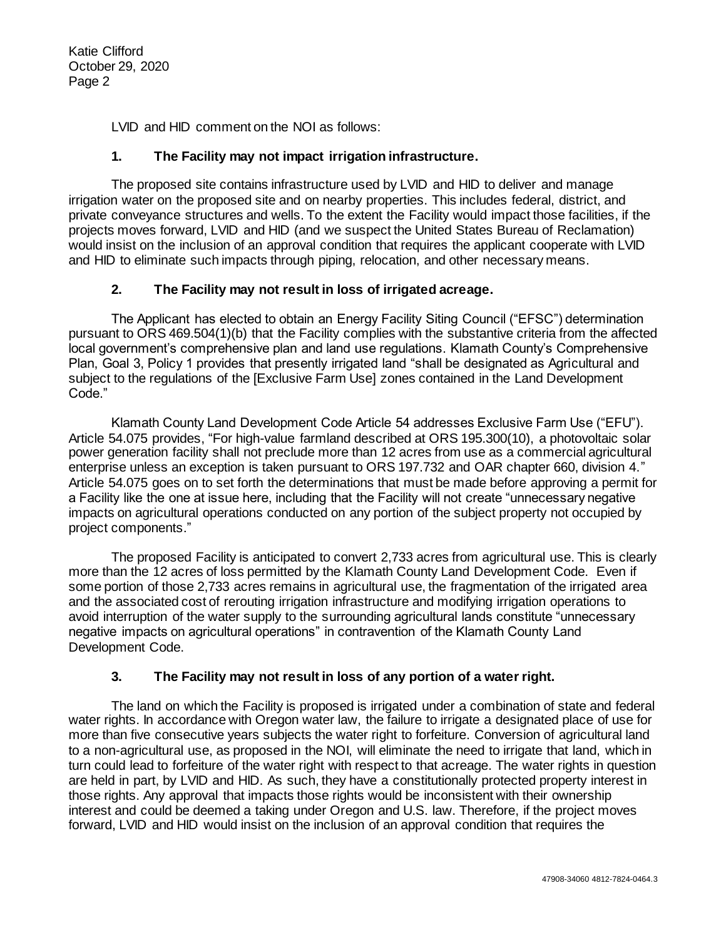Katie Clifford October 29, 2020 Page 2

LVID and HID comment on the NOI as follows:

#### **1. The Facility may not impact irrigation infrastructure.**

The proposed site contains infrastructure used by LVID and HID to deliver and manage irrigation water on the proposed site and on nearby properties. This includes federal, district, and private conveyance structures and wells. To the extent the Facility would impact those facilities, if the projects moves forward, LVID and HID (and we suspect the United States Bureau of Reclamation) would insist on the inclusion of an approval condition that requires the applicant cooperate with LVID and HID to eliminate such impacts through piping, relocation, and other necessary means.

#### **2. The Facility may not result in loss of irrigated acreage.**

The Applicant has elected to obtain an Energy Facility Siting Council ("EFSC") determination pursuant to ORS 469.504(1)(b) that the Facility complies with the substantive criteria from the affected local government's comprehensive plan and land use regulations. Klamath County's Comprehensive Plan, Goal 3, Policy 1 provides that presently irrigated land "shall be designated as Agricultural and subject to the regulations of the [Exclusive Farm Use] zones contained in the Land Development Code."

Klamath County Land Development Code Article 54 addresses Exclusive Farm Use ("EFU"). Article 54.075 provides, "For high-value farmland described at ORS 195.300(10), a photovoltaic solar power generation facility shall not preclude more than 12 acres from use as a commercial agricultural enterprise unless an exception is taken pursuant to ORS 197.732 and OAR chapter 660, division 4." Article 54.075 goes on to set forth the determinations that must be made before approving a permit for a Facility like the one at issue here, including that the Facility will not create "unnecessary negative impacts on agricultural operations conducted on any portion of the subject property not occupied by project components."

The proposed Facility is anticipated to convert 2,733 acres from agricultural use. This is clearly more than the 12 acres of loss permitted by the Klamath County Land Development Code. Even if some portion of those 2,733 acres remains in agricultural use, the fragmentation of the irrigated area and the associated cost of rerouting irrigation infrastructure and modifying irrigation operations to avoid interruption of the water supply to the surrounding agricultural lands constitute "unnecessary negative impacts on agricultural operations" in contravention of the Klamath County Land Development Code.

#### **3. The Facility may not result in loss of any portion of a water right.**

The land on which the Facility is proposed is irrigated under a combination of state and federal water rights. In accordance with Oregon water law, the failure to irrigate a designated place of use for more than five consecutive years subjects the water right to forfeiture. Conversion of agricultural land to a non-agricultural use, as proposed in the NOI, will eliminate the need to irrigate that land, which in turn could lead to forfeiture of the water right with respect to that acreage. The water rights in question are held in part, by LVID and HID. As such, they have a constitutionally protected property interest in those rights. Any approval that impacts those rights would be inconsistent with their ownership interest and could be deemed a taking under Oregon and U.S. law. Therefore, if the project moves forward, LVID and HID would insist on the inclusion of an approval condition that requires the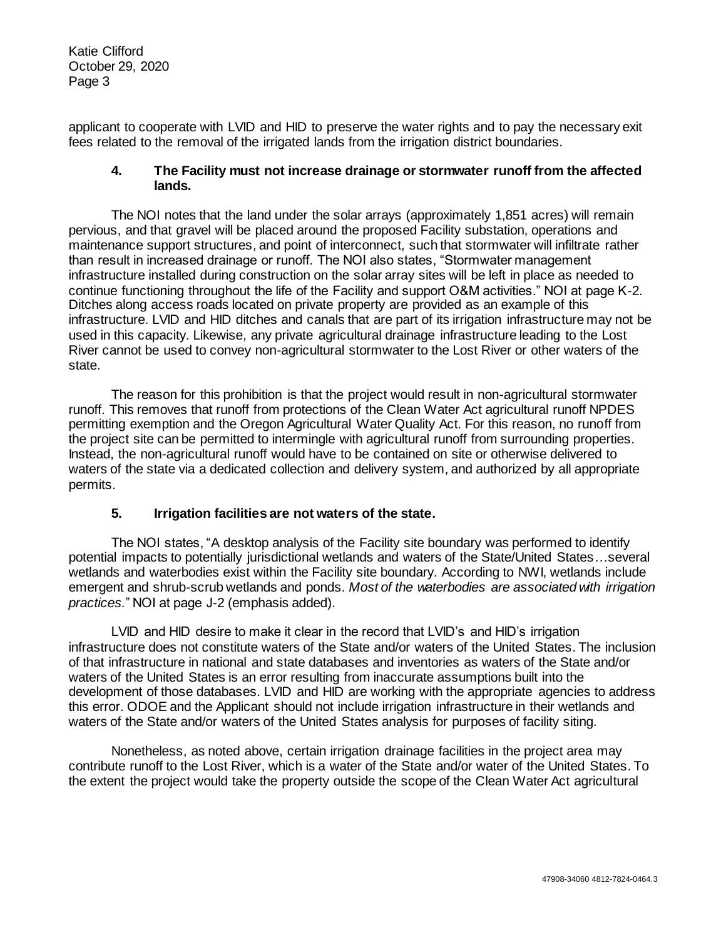Katie Clifford October 29, 2020 Page 3

applicant to cooperate with LVID and HID to preserve the water rights and to pay the necessary exit fees related to the removal of the irrigated lands from the irrigation district boundaries.

#### **4. The Facility must not increase drainage or stormwater runoff from the affected lands.**

The NOI notes that the land under the solar arrays (approximately 1,851 acres) will remain pervious, and that gravel will be placed around the proposed Facility substation, operations and maintenance support structures, and point of interconnect, such that stormwater will infiltrate rather than result in increased drainage or runoff. The NOI also states, "Stormwater management infrastructure installed during construction on the solar array sites will be left in place as needed to continue functioning throughout the life of the Facility and support O&M activities." NOI at page K-2. Ditches along access roads located on private property are provided as an example of this infrastructure. LVID and HID ditches and canals that are part of its irrigation infrastructure may not be used in this capacity. Likewise, any private agricultural drainage infrastructure leading to the Lost River cannot be used to convey non-agricultural stormwater to the Lost River or other waters of the state.

The reason for this prohibition is that the project would result in non-agricultural stormwater runoff. This removes that runoff from protections of the Clean Water Act agricultural runoff NPDES permitting exemption and the Oregon Agricultural Water Quality Act. For this reason, no runoff from the project site can be permitted to intermingle with agricultural runoff from surrounding properties. Instead, the non-agricultural runoff would have to be contained on site or otherwise delivered to waters of the state via a dedicated collection and delivery system, and authorized by all appropriate permits.

#### **5. Irrigation facilities are not waters of the state.**

The NOI states, "A desktop analysis of the Facility site boundary was performed to identify potential impacts to potentially jurisdictional wetlands and waters of the State/United States…several wetlands and waterbodies exist within the Facility site boundary. According to NWI, wetlands include emergent and shrub-scrub wetlands and ponds. *Most of the waterbodies are associated with irrigation practices.*" NOI at page J-2 (emphasis added).

LVID and HID desire to make it clear in the record that LVID's and HID's irrigation infrastructure does not constitute waters of the State and/or waters of the United States. The inclusion of that infrastructure in national and state databases and inventories as waters of the State and/or waters of the United States is an error resulting from inaccurate assumptions built into the development of those databases. LVID and HID are working with the appropriate agencies to address this error. ODOE and the Applicant should not include irrigation infrastructure in their wetlands and waters of the State and/or waters of the United States analysis for purposes of facility siting.

Nonetheless, as noted above, certain irrigation drainage facilities in the project area may contribute runoff to the Lost River, which is a water of the State and/or water of the United States. To the extent the project would take the property outside the scope of the Clean Water Act agricultural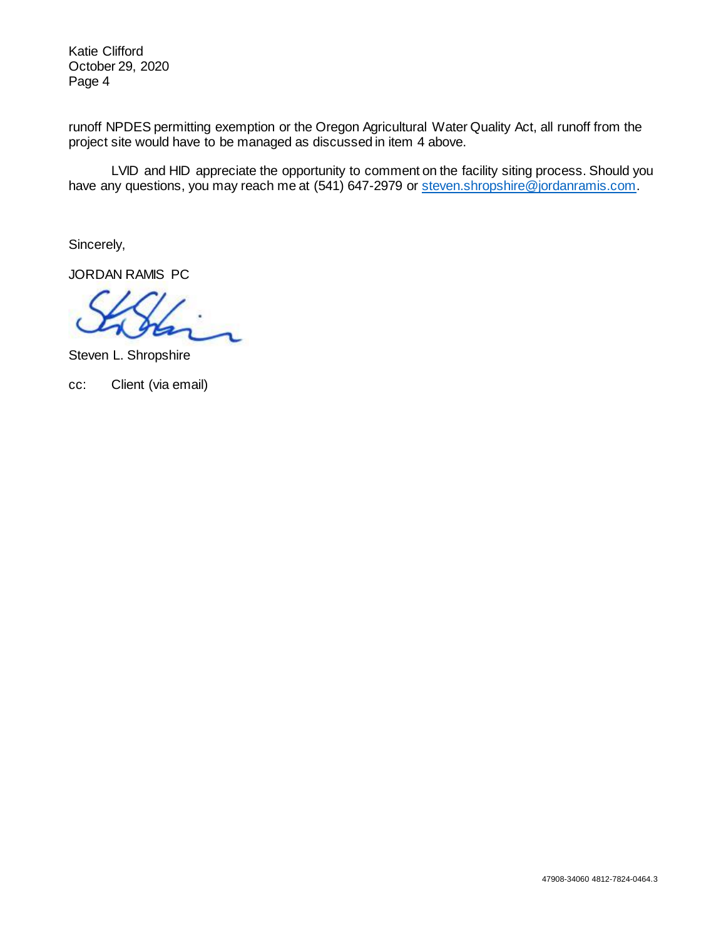Katie Clifford October 29, 2020 Page 4

runoff NPDES permitting exemption or the Oregon Agricultural Water Quality Act, all runoff from the project site would have to be managed as discussed in item 4 above.

LVID and HID appreciate the opportunity to comment on the facility siting process. Should you have any questions, you may reach me at (541) 647-2979 or [steven.shropshire@jordanramis.com.](mailto:steven.shropshire@jordanramis.com)

Sincerely,

JORDAN RAMIS PC

Steven L. Shropshire

cc: Client (via email)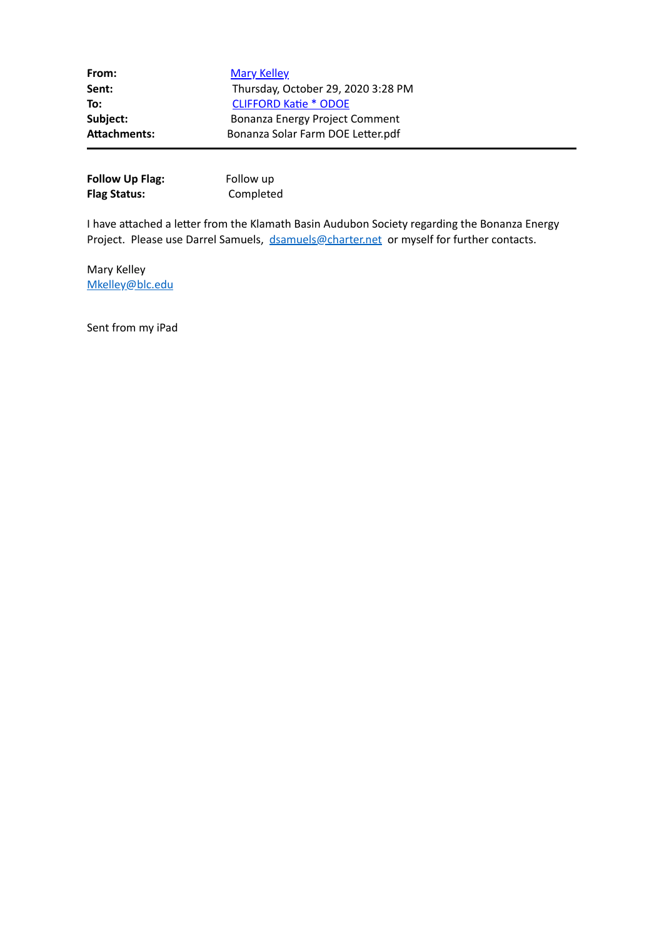<span id="page-6-0"></span>

| From:               | <b>Mary Kelley</b>                 |
|---------------------|------------------------------------|
| Sent:               | Thursday, October 29, 2020 3:28 PM |
| To:                 | <b>CLIFFORD Katie * ODOE</b>       |
| Subject:            | Bonanza Energy Project Comment     |
| <b>Attachments:</b> | Bonanza Solar Farm DOE Letter.pdf  |

| <b>Follow Up Flag:</b> | Follow up |
|------------------------|-----------|
| <b>Flag Status:</b>    | Completed |

I have attached a letter from the Klamath Basin Audubon Society regarding the Bonanza Energy Project. Please use Darrel Samuels, [dsamuels@charter.net](mailto:dsamuels@charter.net) or myself for further contacts.

Mary Kelley [Mkelley@blc.edu](mailto:Mkelley@blc.edu)

Sent from my iPad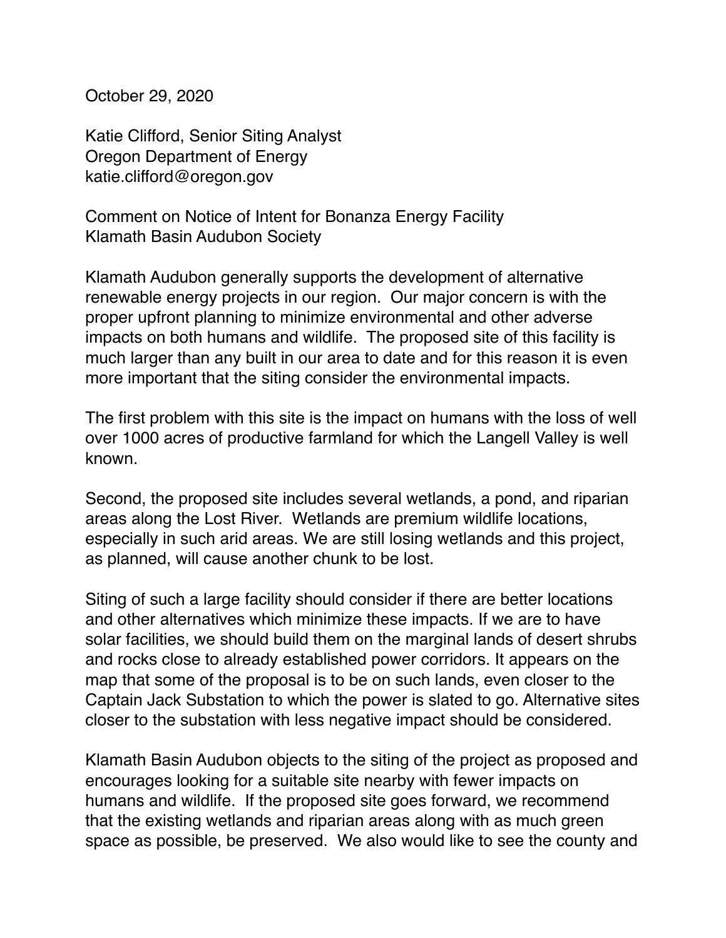October 29, 2020

Katie Clifford, Senior Siting Analyst Oregon Department of Energy katie.clifford@oregon.gov

Comment on Notice of Intent for Bonanza Energy Facility Klamath Basin Audubon Society

Klamath Audubon generally supports the development of alternative renewable energy projects in our region. Our major concern is with the proper upfront planning to minimize environmental and other adverse impacts on both humans and wildlife. The proposed site of this facility is much larger than any built in our area to date and for this reason it is even more important that the siting consider the environmental impacts.

The first problem with this site is the impact on humans with the loss of well over 1000 acres of productive farmland for which the Langell Valley is well known.

Second, the proposed site includes several wetlands, a pond, and riparian areas along the Lost River. Wetlands are premium wildlife locations, especially in such arid areas. We are still losing wetlands and this project, as planned, will cause another chunk to be lost.

Siting of such a large facility should consider if there are better locations and other alternatives which minimize these impacts. If we are to have solar facilities, we should build them on the marginal lands of desert shrubs and rocks close to already established power corridors. It appears on the map that some of the proposal is to be on such lands, even closer to the Captain Jack Substation to which the power is slated to go. Alternative sites closer to the substation with less negative impact should be considered.

Klamath Basin Audubon objects to the siting of the project as proposed and encourages looking for a suitable site nearby with fewer impacts on humans and wildlife. If the proposed site goes forward, we recommend that the existing wetlands and riparian areas along with as much green space as possible, be preserved. We also would like to see the county and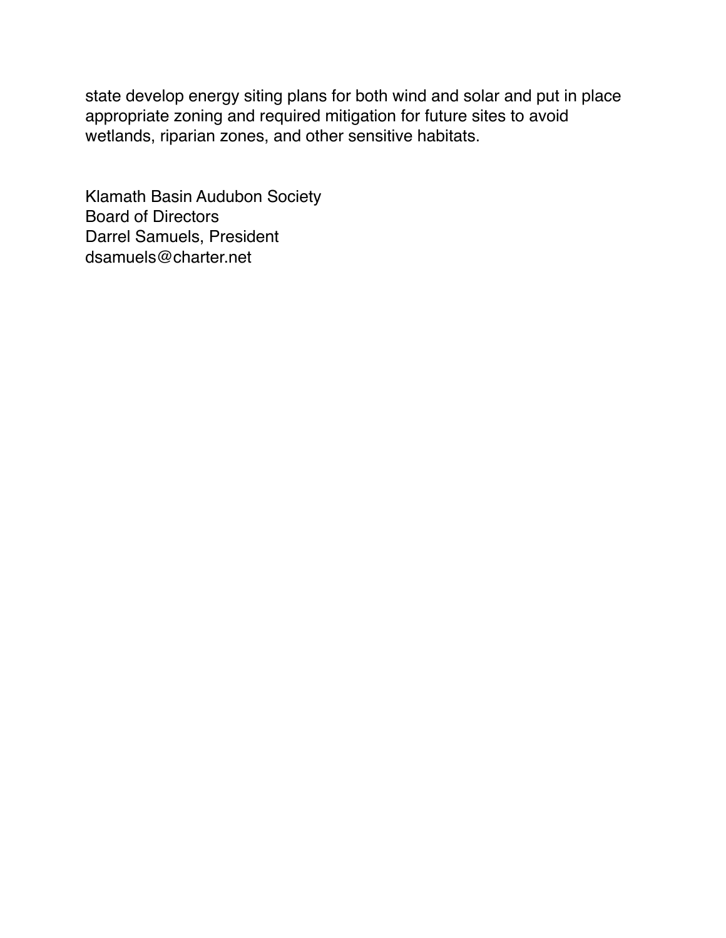state develop energy siting plans for both wind and solar and put in place appropriate zoning and required mitigation for future sites to avoid wetlands, riparian zones, and other sensitive habitats.

Klamath Basin Audubon Society Board of Directors Darrel Samuels, President dsamuels@charter.net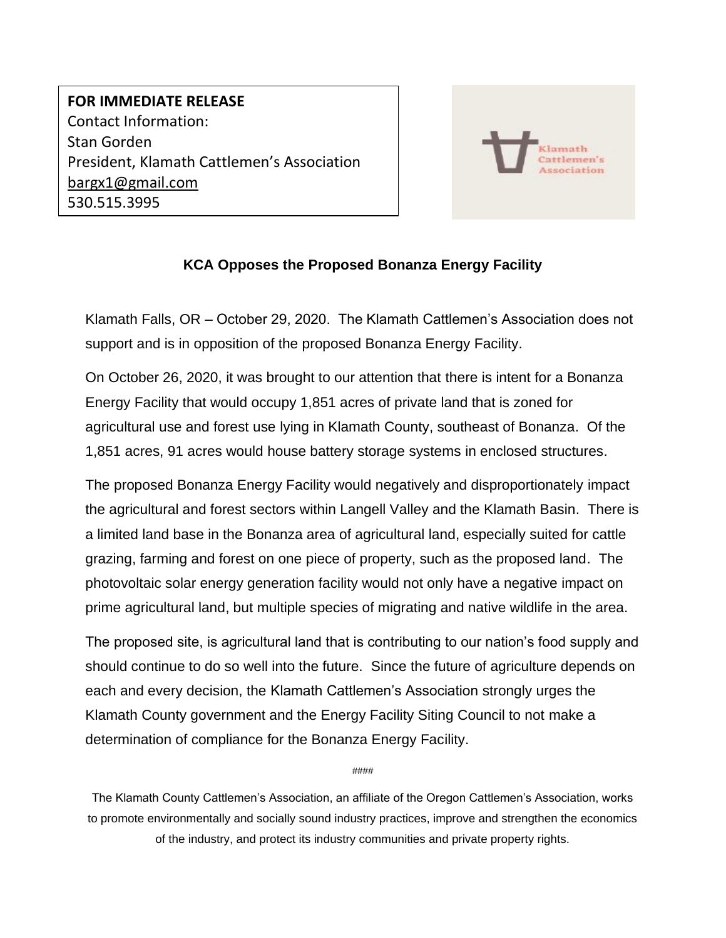## <span id="page-9-0"></span>**FOR IMMEDIATE RELEASE** Contact Information: Stan Gorden President, Klamath Cattlemen's Association [bargx1@gmail.com](mailto:bargx1@gmail.com) 530.515.3995



### **KCA Opposes the Proposed Bonanza Energy Facility**

Klamath Falls, OR – October 29, 2020. The Klamath Cattlemen's Association does not support and is in opposition of the proposed Bonanza Energy Facility.

On October 26, 2020, it was brought to our attention that there is intent for a Bonanza Energy Facility that would occupy 1,851 acres of private land that is zoned for agricultural use and forest use lying in Klamath County, southeast of Bonanza. Of the 1,851 acres, 91 acres would house battery storage systems in enclosed structures.

The proposed Bonanza Energy Facility would negatively and disproportionately impact the agricultural and forest sectors within Langell Valley and the Klamath Basin. There is a limited land base in the Bonanza area of agricultural land, especially suited for cattle grazing, farming and forest on one piece of property, such as the proposed land. The photovoltaic solar energy generation facility would not only have a negative impact on prime agricultural land, but multiple species of migrating and native wildlife in the area.

The proposed site, is agricultural land that is contributing to our nation's food supply and should continue to do so well into the future. Since the future of agriculture depends on each and every decision, the Klamath Cattlemen's Association strongly urges the Klamath County government and the Energy Facility Siting Council to not make a determination of compliance for the Bonanza Energy Facility.

####

The Klamath County Cattlemen's Association, an affiliate of the Oregon Cattlemen's Association, works to promote environmentally and socially sound industry practices, improve and strengthen the economics of the industry, and protect its industry communities and private property rights.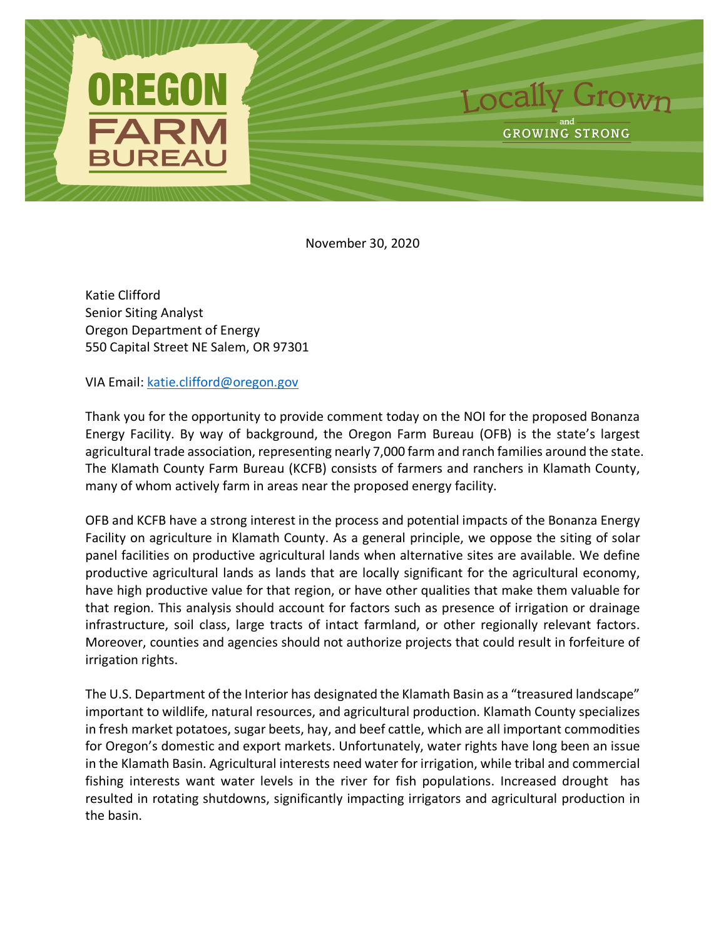<span id="page-11-0"></span>

November 30, 2020

Katie Clifford Senior Siting Analyst Oregon Department of Energy 550 Capital Street NE Salem, OR 97301

VIA Email: [katie.clifford@oregon.gov](mailto:katie.clifford@oregon.gov)

Thank you for the opportunity to provide comment today on the NOI for the proposed Bonanza Energy Facility. By way of background, the Oregon Farm Bureau (OFB) is the state's largest agricultural trade association, representing nearly 7,000 farm and ranch families around the state. The Klamath County Farm Bureau (KCFB) consists of farmers and ranchers in Klamath County, many of whom actively farm in areas near the proposed energy facility.

OFB and KCFB have a strong interest in the process and potential impacts of the Bonanza Energy Facility on agriculture in Klamath County. As a general principle, we oppose the siting of solar panel facilities on productive agricultural lands when alternative sites are available. We define productive agricultural lands as lands that are locally significant for the agricultural economy, have high productive value for that region, or have other qualities that make them valuable for that region. This analysis should account for factors such as presence of irrigation or drainage infrastructure, soil class, large tracts of intact farmland, or other regionally relevant factors. Moreover, counties and agencies should not authorize projects that could result in forfeiture of irrigation rights.

The U.S. Department of the Interior has designated the Klamath Basin as a "treasured landscape" important to wildlife, natural resources, and agricultural production. Klamath County specializes in fresh market potatoes, sugar beets, hay, and beef cattle, which are all important commodities for Oregon's domestic and export markets. Unfortunately, water rights have long been an issue in the Klamath Basin. Agricultural interests need water for irrigation, while tribal and commercial fishing interests want water levels in the river for fish populations. Increased drought has resulted in rotating shutdowns, significantly impacting irrigators and agricultural production in the basin.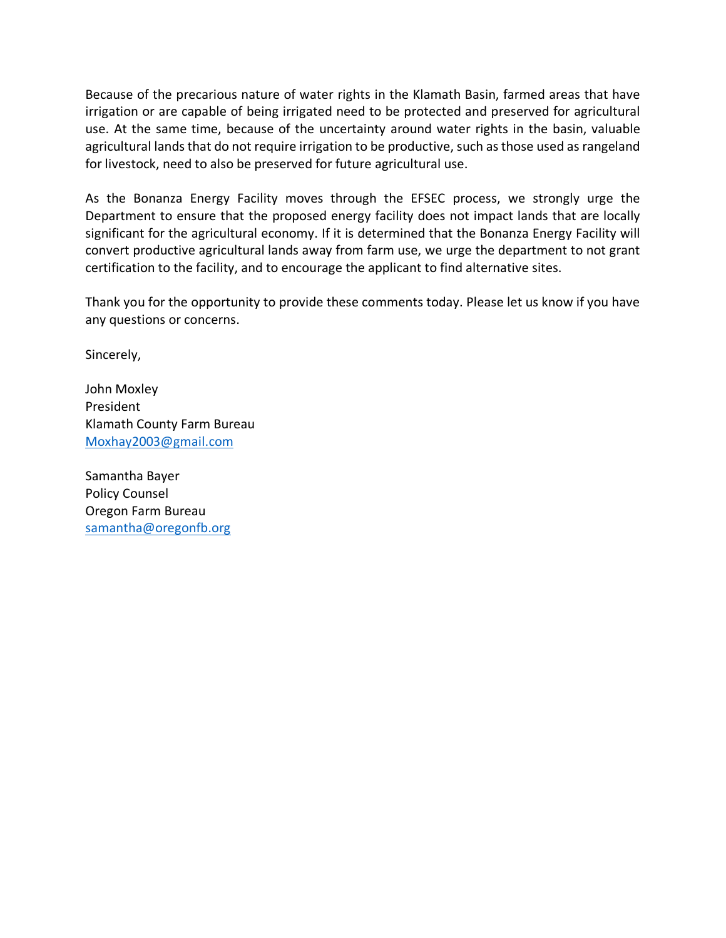Because of the precarious nature of water rights in the Klamath Basin, farmed areas that have irrigation or are capable of being irrigated need to be protected and preserved for agricultural use. At the same time, because of the uncertainty around water rights in the basin, valuable agricultural lands that do not require irrigation to be productive, such as those used as rangeland for livestock, need to also be preserved for future agricultural use.

As the Bonanza Energy Facility moves through the EFSEC process, we strongly urge the Department to ensure that the proposed energy facility does not impact lands that are locally significant for the agricultural economy. If it is determined that the Bonanza Energy Facility will convert productive agricultural lands away from farm use, we urge the department to not grant certification to the facility, and to encourage the applicant to find alternative sites.

Thank you for the opportunity to provide these comments today. Please let us know if you have any questions or concerns.

Sincerely,

John Moxley President Klamath County Farm Bureau [Moxhay2003@gmail.com](mailto:Moxhay2003@gmail.com)

Samantha Bayer Policy Counsel Oregon Farm Bureau [samantha@oregonfb.org](mailto:samantha@oregonfb.org)